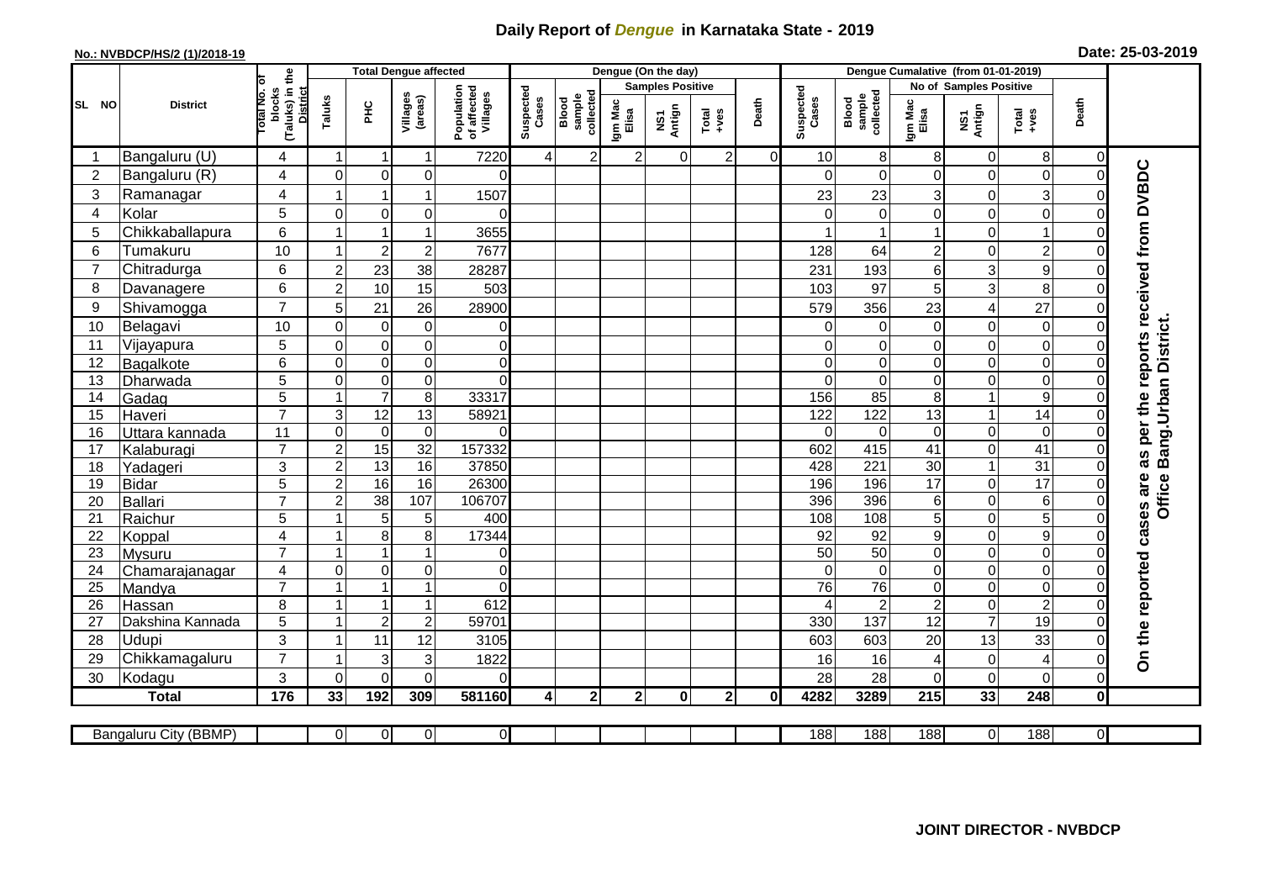## **Daily Report of** *Dengue* **in Karnataka State - 2019**

## **No.: NVBDCP/HS/2 (1)/2018-19 Date: 25-03-2019**

|                | <b>District</b>       |                                          | <b>Total Dengue affected</b>    |                               |                                       |                    |                              |                  |                         | Dengue (On the day) |                |                    |                              |                  |                        |                                    |                           |                     |                                        |
|----------------|-----------------------|------------------------------------------|---------------------------------|-------------------------------|---------------------------------------|--------------------|------------------------------|------------------|-------------------------|---------------------|----------------|--------------------|------------------------------|------------------|------------------------|------------------------------------|---------------------------|---------------------|----------------------------------------|
|                |                       |                                          |                                 |                               |                                       |                    |                              |                  | <b>Samples Positive</b> |                     |                |                    |                              |                  | No of Samples Positive |                                    |                           |                     |                                        |
| SL NO          |                       | (Taluks) in the<br>otal No. of<br>blocks | <b>District</b><br>Taluks<br>ΞÉ | Villages<br>(areas)           | Population<br>of affected<br>Villages | Suspected<br>Cases | sample<br>collected<br>Blood | Igm Mac<br>Elisa | NS1<br>Antign           | $Tota$<br>$+ves$    | Death          | Suspected<br>Cases | sample<br>collected<br>Blood | Igm Mac<br>Elisa | NS1<br>Antign          | Total<br>+ves                      | Death                     |                     |                                        |
|                | Bangaluru (U)         | 4                                        | $\mathbf 1$                     | -1                            | 1                                     | 7220               | $\overline{4}$               | $\overline{2}$   | $\overline{2}$          | $\Omega$            | $\overline{2}$ | $\Omega$           | 10                           | 8                | 8                      | $\mathbf 0$                        | 8                         | $\overline{0}$      |                                        |
| $\overline{2}$ | Bangaluru (R)         | 4                                        | $\mathbf 0$                     | $\mathbf 0$                   | $\mathbf 0$                           | $\Omega$           |                              |                  |                         |                     |                |                    |                              | $\Omega$         | 0                      | 0                                  | $\mathbf 0$               | $\Omega$            |                                        |
| 3              | Ramanagar             | 4                                        |                                 | 1                             | 1                                     | 1507               |                              |                  |                         |                     |                |                    | 23                           | 23               | 3                      | $\mathbf 0$                        | $\ensuremath{\mathsf{3}}$ | 0                   |                                        |
| $\overline{4}$ | Kolar                 | 5                                        | $\overline{0}$                  | $\Omega$                      | $\mathbf 0$                           | $\Omega$           |                              |                  |                         |                     |                |                    |                              | $\Omega$         | 0                      | $\mathbf 0$                        | $\mathbf 0$               | $\Omega$            |                                        |
| 5              | Chikkaballapura       | 6                                        |                                 | $\overline{1}$                | 1                                     | 3655               |                              |                  |                         |                     |                |                    |                              |                  | 1                      | $\mathbf 0$                        | $\mathbf{1}$              | 0                   |                                        |
| 6              | Tumakuru              | 10                                       |                                 | $\overline{2}$                | $\overline{2}$                        | 7677               |                              |                  |                         |                     |                |                    | 128                          | 64               | $\overline{c}$         | $\mathbf 0$                        | $\overline{2}$            | $\Omega$            |                                        |
| $\overline{7}$ | Chitradurga           | 6                                        | $\overline{c}$                  | 23                            | 38                                    | 28287              |                              |                  |                         |                     |                |                    | 231                          | 193              | 6                      | 3                                  | $\boldsymbol{9}$          | 0                   |                                        |
| 8              | Davanagere            | 6                                        | $\overline{2}$                  | 10                            | 15                                    | 503                |                              |                  |                         |                     |                |                    | 103                          | 97               | 5                      | 3                                  | 8                         | 0                   |                                        |
| 9              | Shivamogga            | $\overline{7}$                           | 5                               | 21                            | 26                                    | 28900              |                              |                  |                         |                     |                |                    | 579                          | 356              | 23                     | $\overline{\mathcal{A}}$           | 27                        |                     | as per the reports received from DVBDC |
| 10             | Belagavi              | 10                                       | $\mathbf 0$                     | 0                             | $\boldsymbol{0}$                      | $\Omega$           |                              |                  |                         |                     |                |                    | 0                            | $\Omega$         | 0                      | $\mathbf 0$                        | $\mathbf 0$               | $\Omega$            | Office Bang Urban District.            |
| 11             | Vijayapura            | 5                                        | $\mathbf 0$                     | $\boldsymbol{0}$              | $\mathbf 0$                           | $\mathbf 0$        |                              |                  |                         |                     |                |                    | 0                            | $\mathbf 0$      | 0                      | $\mathbf 0$                        | $\mathbf 0$               | 0                   |                                        |
| 12             | Bagalkote             | 6                                        | $\Omega$                        | $\mathbf 0$                   | $\pmb{0}$                             | $\mathbf 0$        |                              |                  |                         |                     |                |                    | $\Omega$                     | $\mathbf 0$      | 0                      | $\mathbf 0$                        | $\overline{0}$            | $\Omega$            |                                        |
| 13             | Dharwada              | $\overline{5}$                           | $\mathbf 0$                     | $\boldsymbol{0}$              | $\overline{0}$                        | 0                  |                              |                  |                         |                     |                |                    | $\Omega$                     | $\pmb{0}$        | 0                      | $\mathbf 0$                        | $\overline{0}$            | $\Omega$            |                                        |
| 14             | Gadag                 | $\overline{5}$                           |                                 | $\overline{7}$                | $\bf 8$                               | 33317              |                              |                  |                         |                     |                |                    | 156                          | 85               | 8                      | $\mathbf{1}$                       | $\boldsymbol{9}$          | O                   |                                        |
| 15             | Haveri                | $\overline{7}$                           | $\mathsf 3$                     | $\overline{12}$               | 13                                    | 58921              |                              |                  |                         |                     |                |                    | 122                          | $\frac{1}{22}$   | $\overline{13}$        | $\mathbf{1}$                       | 14                        | 0                   |                                        |
| 16             | Uttara kannada        | 11                                       | $\mathbf 0$                     | 0                             | $\pmb{0}$                             | $\Omega$           |                              |                  |                         |                     |                |                    | 0                            | 0                | 0                      | $\mathbf 0$                        | $\mathbf 0$               | 0                   |                                        |
| 17             | Kalaburagi            | $\overline{7}$                           | $\overline{c}$                  | 15                            | 32                                    | 157332             |                              |                  |                         |                     |                |                    | 602                          | 415              | $\overline{41}$        | $\mathbf 0$                        | $\overline{41}$           | 0                   |                                        |
| 18             | Yadageri              | 3                                        | $\overline{2}$                  | 13                            | 16                                    | 37850              |                              |                  |                         |                     |                |                    | 428                          | 221              | 30                     | $\mathbf{1}$                       | 31                        | 0                   |                                        |
| 19             | Bidar                 | 5                                        | $\overline{2}$                  | 16                            | 16                                    | 26300              |                              |                  |                         |                     |                |                    | 196                          | 196              | $\overline{17}$        | $\mathbf 0$                        | $\overline{17}$           | 0                   |                                        |
| 20             | Ballari               | $\overline{7}$                           | $\overline{c}$                  | $\overline{38}$               | 107                                   | 106707             |                              |                  |                         |                     |                |                    | 396                          | 396              | 6                      | $\boldsymbol{0}$                   | $\overline{6}$            | $\Omega$            |                                        |
| 21             | Raichur               | 5                                        |                                 | 5                             | 5                                     | 400                |                              |                  |                         |                     |                |                    | 108                          | 108              | 5                      | $\boldsymbol{0}$                   | $\overline{5}$            | 0                   |                                        |
| 22             | Koppal                | $\overline{4}$                           |                                 | 8                             | 8                                     | 17344              |                              |                  |                         |                     |                |                    | 92                           | 92               | 9                      | $\mathbf 0$                        | $\overline{9}$            | $\Omega$            |                                        |
| 23             | <b>Mysuru</b>         | $\overline{7}$                           |                                 |                               |                                       | 0                  |                              |                  |                         |                     |                |                    | $\overline{50}$              | $\overline{50}$  | 0                      | $\mathbf 0$                        | $\boldsymbol{0}$          | 0                   |                                        |
| 24             | Chamarajanagar        | 4                                        | $\Omega$                        | $\overline{0}$                | 0                                     | $\Omega$           |                              |                  |                         |                     |                |                    | $\Omega$                     | $\mathbf 0$      | 0                      | $\mathbf 0$                        | $\boldsymbol{0}$          | $\Omega$            |                                        |
| 25             | Mandya                | $\overline{7}$                           |                                 | $\overline{\mathbf{1}}$<br>-1 | $\overline{1}$                        | $\Omega$           |                              |                  |                         |                     |                |                    | 76                           | $\overline{76}$  | 0                      | $\mathbf 0$                        | $\overline{0}$            | $\overline{0}$      |                                        |
| 26             | Hassan                | 8                                        |                                 |                               | 1                                     | 612                |                              |                  |                         |                     |                |                    |                              | $\overline{2}$   | $\overline{2}$         | $\boldsymbol{0}$<br>$\overline{7}$ | $\overline{2}$            | 0<br>$\Omega$       |                                        |
| 27             | Dakshina Kannada      | $\overline{5}$                           |                                 | $\overline{2}$                | $\overline{\mathbf{c}}$               | 59701              |                              |                  |                         |                     |                |                    | 330                          | 137              | $\overline{12}$        |                                    | 19                        |                     |                                        |
| 28             | <b>Udupi</b>          | 3<br>$\overline{7}$                      |                                 | 11                            | 12                                    | 3105               |                              |                  |                         |                     |                |                    | 603                          | 603              | 20                     | 13                                 | 33                        |                     | On the reported cases are              |
| 29             | Chikkamagaluru        |                                          |                                 | 3                             | 3                                     | 1822               |                              |                  |                         |                     |                |                    | 16                           | 16               | 4                      | 0                                  | 4                         | 0                   |                                        |
| 30             | Kodagu                | 3                                        | $\Omega$                        | $\Omega$                      | $\Omega$                              | 0                  |                              |                  |                         |                     |                |                    | 28                           | 28               | 0                      | $\mathbf 0$                        | $\Omega$                  | 0                   |                                        |
|                | <b>Total</b>          | $\frac{1}{176}$                          | 33                              | 192                           | 309                                   | 581160             | 4                            | $\mathbf 2$      | 2 <sub>1</sub>          | $\mathbf 0$         | $\overline{2}$ | $\mathbf{0}$       | 4282                         | 3289             | 215                    | 33                                 | 248                       | $\mathbf{0}$        |                                        |
|                | Bangaluru City (BBMP) |                                          | $\overline{0}$                  | $\overline{0}$                | $\overline{0}$                        | $\overline{0}$     |                              |                  |                         |                     |                |                    | 188                          | 188              | 188                    | $\overline{0}$                     | 188                       | $\overline{\Omega}$ |                                        |